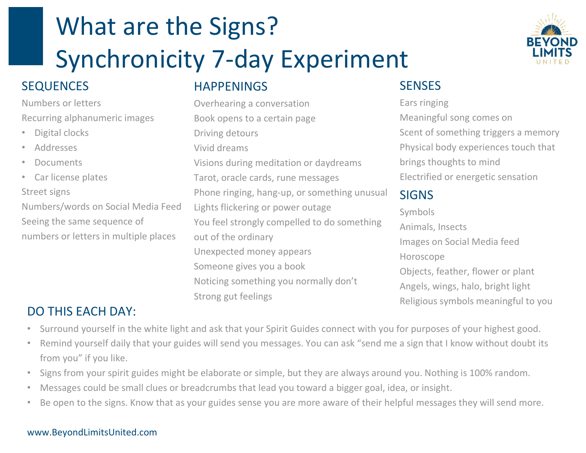# What are the Signs? Synchronicity 7-day Experiment

# SEQUENCES

### Numbers or letters Recurring alphanumeric images

- Digital clocks
- Addresses
- **Documents**
- Car license plates Street signs Numbers/words on Social Media Feed Seeing the same sequence of

numbers or letters in multiple places

## HAPPENINGS

Overhearing a conversation Book opens to a certain page Driving detours Vivid dreams Visions during meditation or daydreams Tarot, oracle cards, rune messages Phone ringing, hang-up, or something unusual Lights flickering or power outage You feel strongly compelled to do something out of the ordinary Unexpected money appears Someone gives you a book Noticing something you normally don't Strong gut feelings



# **SENSES**

Ears ringing Meaningful song comes on Scent of something triggers a memory Physical body experiences touch that brings thoughts to mind Electrified or energetic sensation

## SIGNS

Symbols Animals, Insects Images on Social Media feed Horoscope Objects, feather, flower or plant Angels, wings, halo, bright light Religious symbols meaningful to you

# DO THIS EACH DAY:

- Surround yourself in the white light and ask that your Spirit Guides connect with you for purposes of your highest good.
- Remind yourself daily that your guides will send you messages. You can ask "send me a sign that I know without doubt its from you" if you like.
- Signs from your spirit guides might be elaborate or simple, but they are always around you. Nothing is 100% random.
- Messages could be small clues or breadcrumbs that lead you toward a bigger goal, idea, or insight.
- Be open to the signs. Know that as your guides sense you are more aware of their helpful messages they will send more.

### www.BeyondLimitsUnited.com